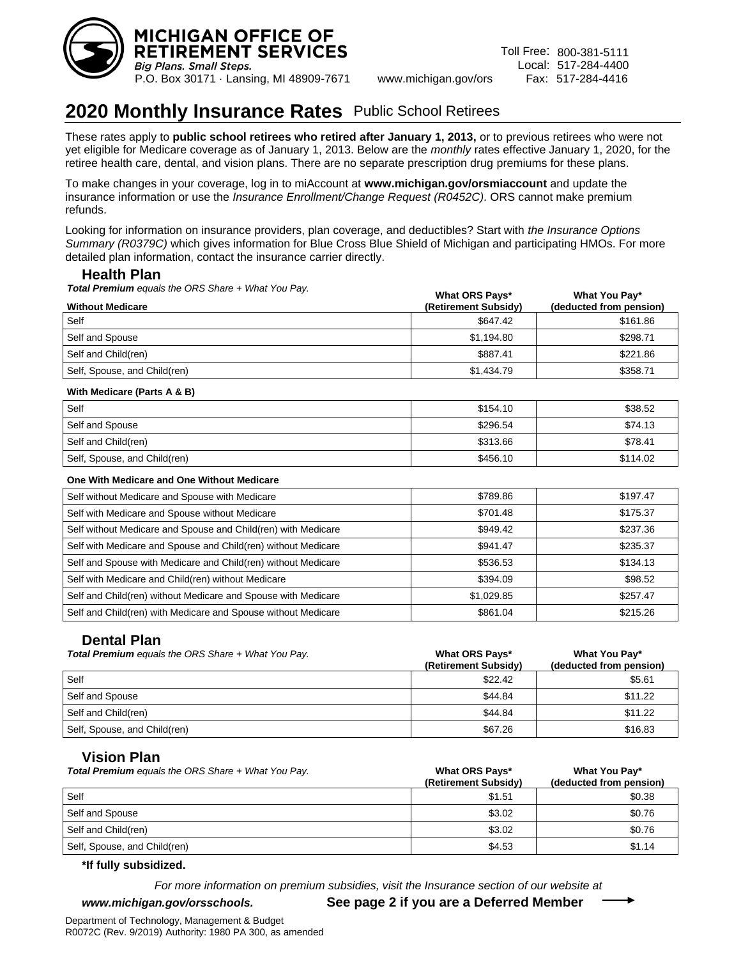

**What You Pay\***

# **2020 Monthly Insurance Rates** Public School Retirees

These rates apply to **public school retirees who retired after January 1, 2013,** or to previous retirees who were not yet eligible for Medicare coverage as of January 1, 2013. Below are the *monthly* rates effective January 1, 2020, for the retiree health care, dental, and vision plans. There are no separate prescription drug premiums for these plans.

To make changes in your coverage, log in to miAccount at **www.michigan.gov/orsmiaccount** and update the insurance information or use the *Insurance Enrollment/Change Request (R0452C)*. ORS cannot make premium refunds.

Looking for information on insurance providers, plan coverage, and deductibles? Start with *the Insurance Options Summary (R0379C)* which gives information for Blue Cross Blue Shield of Michigan and participating HMOs. For more detailed plan information, contact the insurance carrier directly.

# **Health Plan**

*Total Premium equals the ORS Share + What You Pay.*

| <b>Without Medicare</b>      | What ORS Pays*<br>(Retirement Subsidy) | What You Pay<br>(deducted from pension) |
|------------------------------|----------------------------------------|-----------------------------------------|
| Self                         | \$647.42                               | \$161.86                                |
| Self and Spouse              | \$1.194.80                             | \$298.71                                |
| Self and Child(ren)          | \$887.41                               | \$221.86                                |
| Self, Spouse, and Child(ren) | \$1,434.79                             | \$358.71                                |

 $\mathbf{w}$   $\mathbf{w}$   $\mathbf{w}$   $\mathbf{w}$   $\mathbf{w}$ 

#### **With Medicare (Parts A & B)**

| Self                         | \$154.10 | \$38.52  |
|------------------------------|----------|----------|
| Self and Spouse              | \$296.54 | \$74.13  |
| Self and Child(ren)          | \$313.66 | \$78.41  |
| Self, Spouse, and Child(ren) | \$456.10 | \$114.02 |

### **One With Medicare and One Without Medicare**

| Self without Medicare and Spouse with Medicare                | \$789.86   | \$197.47 |
|---------------------------------------------------------------|------------|----------|
| Self with Medicare and Spouse without Medicare                | \$701.48   | \$175.37 |
| Self without Medicare and Spouse and Child(ren) with Medicare | \$949.42   | \$237.36 |
| Self with Medicare and Spouse and Child(ren) without Medicare | \$941.47   | \$235.37 |
| Self and Spouse with Medicare and Child(ren) without Medicare | \$536.53   | \$134.13 |
| Self with Medicare and Child(ren) without Medicare            | \$394.09   | \$98.52  |
| Self and Child(ren) without Medicare and Spouse with Medicare | \$1,029.85 | \$257.47 |
| Self and Child(ren) with Medicare and Spouse without Medicare | \$861.04   | \$215.26 |

## **Dental Plan**

| <b>Total Premium</b> equals the ORS Share + What You Pay. | <b>What ORS Pays*</b><br>(Retirement Subsidy) | What You Pay*<br>(deducted from pension) |
|-----------------------------------------------------------|-----------------------------------------------|------------------------------------------|
| Self                                                      | \$22.42                                       | \$5.61                                   |
| Self and Spouse                                           | \$44.84                                       | \$11.22                                  |
| Self and Child(ren)                                       | \$44.84                                       | \$11.22                                  |
| Self, Spouse, and Child(ren)                              | \$67.26                                       | \$16.83                                  |

## **Vision Plan**

| <b>Total Premium</b> equals the ORS Share + What You Pay. | <b>What ORS Pays*</b><br>(Retirement Subsidy) | What You Pay*<br>(deducted from pension) |
|-----------------------------------------------------------|-----------------------------------------------|------------------------------------------|
| Self                                                      | \$1.51                                        | \$0.38                                   |
| Self and Spouse                                           | \$3.02                                        | \$0.76                                   |
| Self and Child(ren)                                       | \$3.02                                        | \$0.76                                   |
| Self, Spouse, and Child(ren)                              | \$4.53                                        | \$1.14                                   |

#### **\*If fully subsidized.**

*For more information on premium subsidies, visit the Insurance section of our website at* 

*www.michigan.gov/orsschools.* **See page 2 if you are a Deferred Member**